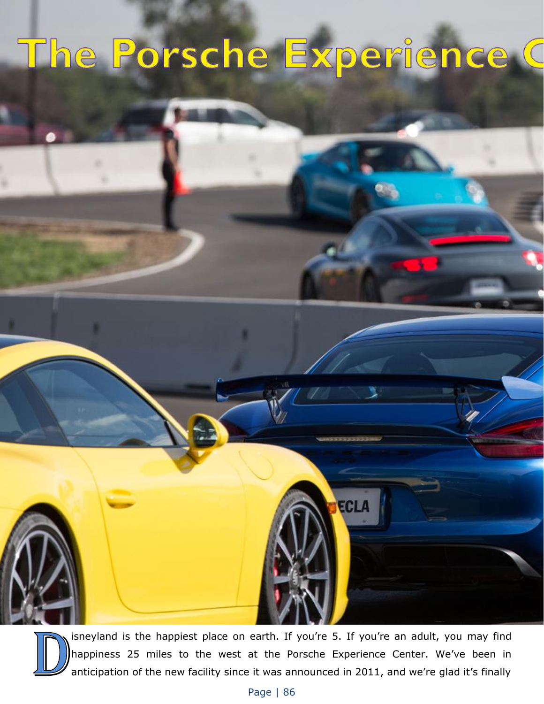## The Porsche Experience C



isneyland is the happiest place on earth. If you're 5. If you're an adult, you may find happiness 25 miles to the west at the Porsche Experience Center. We've been in anticipation of the new facility since it was announced in 2011, and we're glad it's finally

ECLA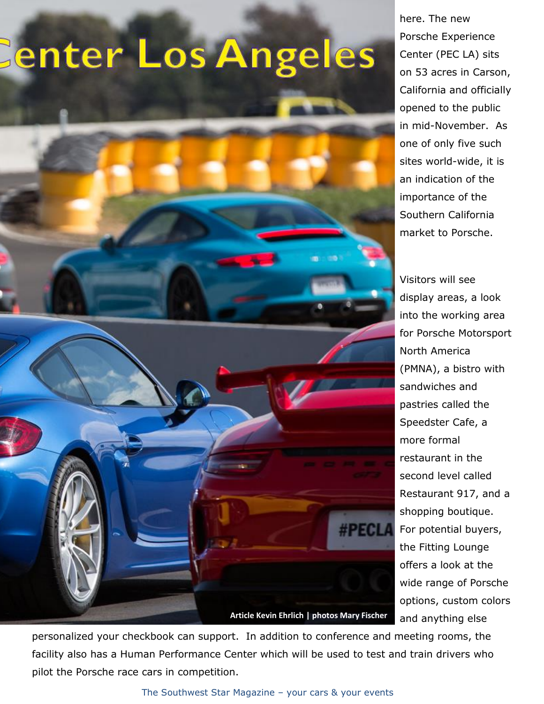## enter Los Angeles



here. The new Porsche Experience Center (PEC LA) sits on 53 acres in Carson, California and officially opened to the public in mid-November. As one of only five such sites world-wide, it is an indication of the importance of the Southern California market to Porsche.

Visitors will see display areas, a look into the working area for Porsche Motorsport North America (PMNA), a bistro with sandwiches and pastries called the Speedster Cafe, a more formal restaurant in the second level called Restaurant 917, and a shopping boutique. For potential buyers, the Fitting Lounge offers a look at the wide range of Porsche options, custom colors and anything else

personalized your checkbook can support. In addition to conference and meeting rooms, the facility also has a Human Performance Center which will be used to test and train drivers who pilot the Porsche race cars in competition.

## The Southwest Star Magazine – your cars & your events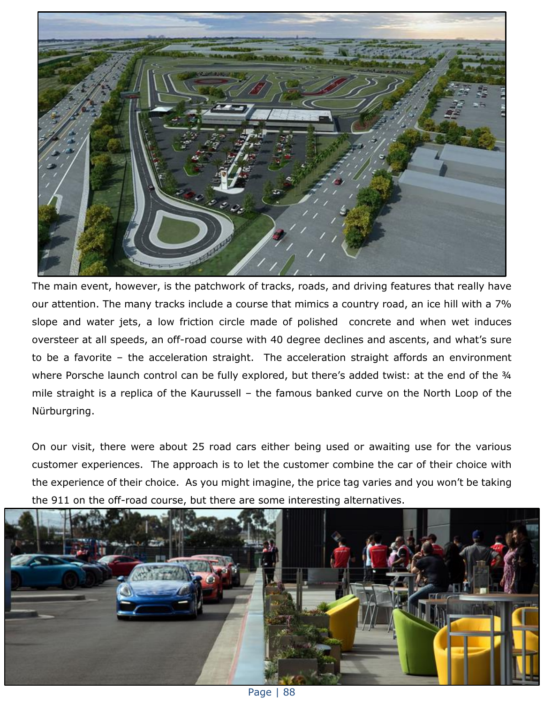

The main event, however, is the patchwork of tracks, roads, and driving features that really have our attention. The many tracks include a course that mimics a country road, an ice hill with a 7% slope and water jets, a low friction circle made of polished concrete and when wet induces oversteer at all speeds, an off-road course with 40 degree declines and ascents, and what's sure to be a favorite – the acceleration straight. The acceleration straight affords an environment where Porsche launch control can be fully explored, but there's added twist: at the end of the 34 mile straight is a replica of the Kaurussell – the famous banked curve on the North Loop of the Nürburgring.

On our visit, there were about 25 road cars either being used or awaiting use for the various customer experiences. The approach is to let the customer combine the car of their choice with the experience of their choice. As you might imagine, the price tag varies and you won't be taking the 911 on the off-road course, but there are some interesting alternatives.



Page | 88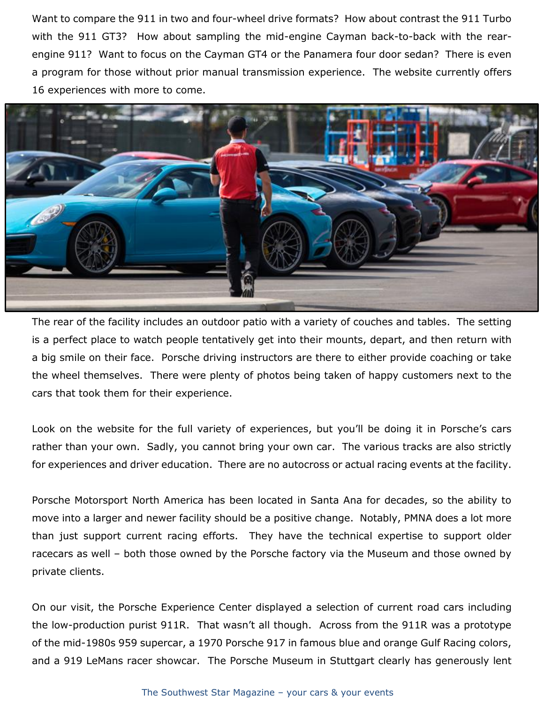Want to compare the 911 in two and four-wheel drive formats? How about contrast the 911 Turbo with the 911 GT3? How about sampling the mid-engine Cayman back-to-back with the rearengine 911? Want to focus on the Cayman GT4 or the Panamera four door sedan? There is even a program for those without prior manual transmission experience. The website currently offers 16 experiences with more to come.



The rear of the facility includes an outdoor patio with a variety of couches and tables. The setting is a perfect place to watch people tentatively get into their mounts, depart, and then return with a big smile on their face. Porsche driving instructors are there to either provide coaching or take the wheel themselves. There were plenty of photos being taken of happy customers next to the cars that took them for their experience.

Look on the website for the full variety of experiences, but you'll be doing it in Porsche's cars rather than your own. Sadly, you cannot bring your own car. The various tracks are also strictly for experiences and driver education. There are no autocross or actual racing events at the facility.

Porsche Motorsport North America has been located in Santa Ana for decades, so the ability to move into a larger and newer facility should be a positive change. Notably, PMNA does a lot more than just support current racing efforts. They have the technical expertise to support older racecars as well – both those owned by the Porsche factory via the Museum and those owned by private clients.

On our visit, the Porsche Experience Center displayed a selection of current road cars including the low-production purist 911R. That wasn't all though. Across from the 911R was a prototype of the mid-1980s 959 supercar, a 1970 Porsche 917 in famous blue and orange Gulf Racing colors, and a 919 LeMans racer showcar. The Porsche Museum in Stuttgart clearly has generously lent